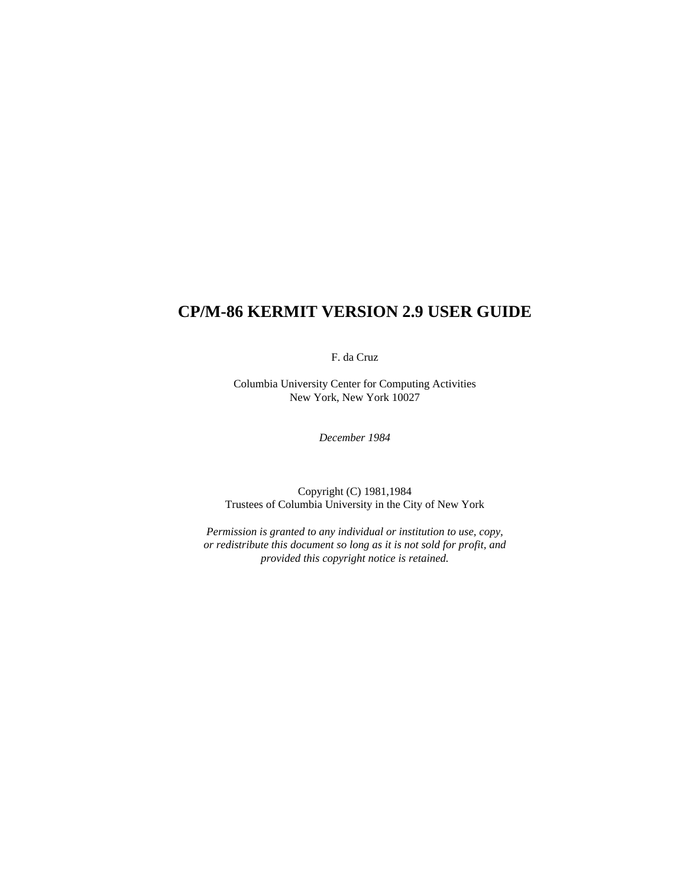# **CP/M-86 KERMIT VERSION 2.9 USER GUIDE**

F. da Cruz

Columbia University Center for Computing Activities New York, New York 10027

*December 1984*

Copyright (C) 1981,1984 Trustees of Columbia University in the City of New York

*Permission is granted to any individual or institution to use, copy, or redistribute this document so long as it is not sold for profit, and provided this copyright notice is retained.*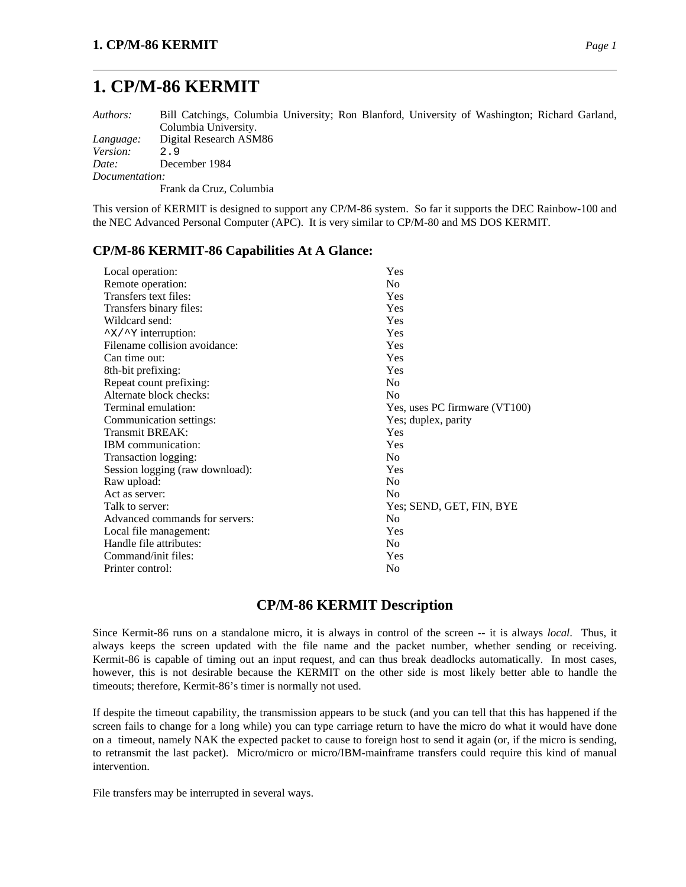# **1. CP/M-86 KERMIT**

*Authors:* Bill Catchings, Columbia University; Ron Blanford, University of Washington; Richard Garland, Columbia University. *Language:* Digital Research ASM86 *Version:* 2.9 *Date:* December 1984 *Documentation:* Frank da Cruz, Columbia

This version of KERMIT is designed to support any CP/M-86 system. So far it supports the DEC Rainbow-100 and the NEC Advanced Personal Computer (APC). It is very similar to CP/M-80 and MS DOS KERMIT.

### **CP/M-86 KERMIT-86 Capabilities At A Glance:**

| Local operation:                | Yes                           |
|---------------------------------|-------------------------------|
| Remote operation:               | No                            |
| Transfers text files:           | <b>Yes</b>                    |
| Transfers binary files:         | Yes                           |
| Wildcard send:                  | Yes                           |
| "x/" Y interruption:            | Yes                           |
| Filename collision avoidance:   | Yes                           |
| Can time out:                   | Yes                           |
| 8th-bit prefixing:              | Yes                           |
| Repeat count prefixing:         | N <sub>0</sub>                |
| Alternate block checks:         | N <sub>0</sub>                |
| Terminal emulation:             | Yes, uses PC firmware (VT100) |
| Communication settings:         | Yes; duplex, parity           |
| <b>Transmit BREAK:</b>          | Yes                           |
| <b>IBM</b> communication:       | Yes                           |
| Transaction logging:            | N <sub>0</sub>                |
| Session logging (raw download): | Yes                           |
| Raw upload:                     | N <sub>0</sub>                |
| Act as server:                  | N <sub>0</sub>                |
| Talk to server:                 | Yes; SEND, GET, FIN, BYE      |
| Advanced commands for servers:  | No                            |
| Local file management:          | Yes                           |
| Handle file attributes:         | No                            |
| Command/init files:             | Yes                           |
| Printer control:                | No                            |
|                                 |                               |

### **CP/M-86 KERMIT Description**

Since Kermit-86 runs on a standalone micro, it is always in control of the screen -- it is always *local*. Thus, it always keeps the screen updated with the file name and the packet number, whether sending or receiving. Kermit-86 is capable of timing out an input request, and can thus break deadlocks automatically. In most cases, however, this is not desirable because the KERMIT on the other side is most likely better able to handle the timeouts; therefore, Kermit-86's timer is normally not used.

If despite the timeout capability, the transmission appears to be stuck (and you can tell that this has happened if the screen fails to change for a long while) you can type carriage return to have the micro do what it would have done on a timeout, namely NAK the expected packet to cause to foreign host to send it again (or, if the micro is sending, to retransmit the last packet). Micro/micro or micro/IBM-mainframe transfers could require this kind of manual intervention.

File transfers may be interrupted in several ways.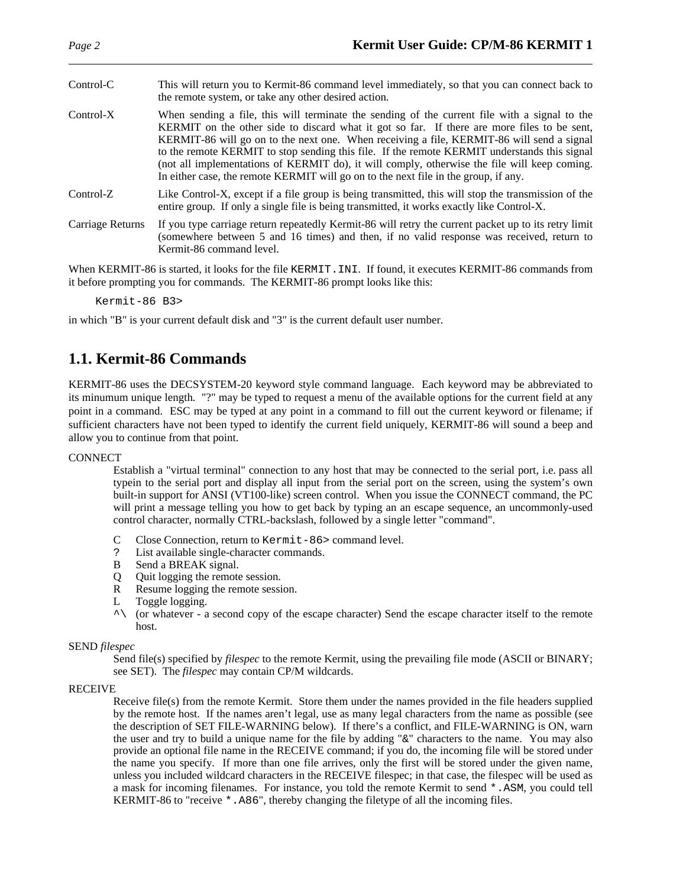| Control-C        | This will return you to Kermit-86 command level immediately, so that you can connect back to<br>the remote system, or take any other desired action.                                                                                                                                                                                                                                                                                                                                                                                                                             |
|------------------|----------------------------------------------------------------------------------------------------------------------------------------------------------------------------------------------------------------------------------------------------------------------------------------------------------------------------------------------------------------------------------------------------------------------------------------------------------------------------------------------------------------------------------------------------------------------------------|
| $Control-X$      | When sending a file, this will terminate the sending of the current file with a signal to the<br>KERMIT on the other side to discard what it got so far. If there are more files to be sent,<br>KERMIT-86 will go on to the next one. When receiving a file, KERMIT-86 will send a signal<br>to the remote KERMIT to stop sending this file. If the remote KERMIT understands this signal<br>(not all implementations of KERMIT do), it will comply, otherwise the file will keep coming.<br>In either case, the remote KERMIT will go on to the next file in the group, if any. |
| $Control-Z$      | Like Control-X, except if a file group is being transmitted, this will stop the transmission of the<br>entire group. If only a single file is being transmitted, it works exactly like Control-X.                                                                                                                                                                                                                                                                                                                                                                                |
| Carriage Returns | If you type carriage return repeatedly Kermit-86 will retry the current packet up to its retry limit<br>(somewhere between 5 and 16 times) and then, if no valid response was received, return to<br>Kermit-86 command level.                                                                                                                                                                                                                                                                                                                                                    |

When KERMIT-86 is started, it looks for the file KERMIT. INI. If found, it executes KERMIT-86 commands from it before prompting you for commands. The KERMIT-86 prompt looks like this:

Kermit-86 B3>

in which "B" is your current default disk and "3" is the current default user number.

### **1.1. Kermit-86 Commands**

KERMIT-86 uses the DECSYSTEM-20 keyword style command language. Each keyword may be abbreviated to its minumum unique length. "?" may be typed to request a menu of the available options for the current field at any point in a command. ESC may be typed at any point in a command to fill out the current keyword or filename; if sufficient characters have not been typed to identify the current field uniquely, KERMIT-86 will sound a beep and allow you to continue from that point.

#### **CONNECT**

Establish a "virtual terminal" connection to any host that may be connected to the serial port, i.e. pass all typein to the serial port and display all input from the serial port on the screen, using the system's own built-in support for ANSI (VT100-like) screen control. When you issue the CONNECT command, the PC will print a message telling you how to get back by typing an an escape sequence, an uncommonly-used control character, normally CTRL-backslash, followed by a single letter "command".

- C Close Connection, return to Kermit-86> command level.
- ? List available single-character commands.
- B Send a BREAK signal.
- Q Quit logging the remote session.
- R Resume logging the remote session.
- L Toggle logging.
- $\wedge$  (or whatever a second copy of the escape character) Send the escape character itself to the remote host.

#### SEND *filespec*

Send file(s) specified by *filespec* to the remote Kermit, using the prevailing file mode (ASCII or BINARY; see SET). The *filespec* may contain CP/M wildcards.

#### RECEIVE

Receive file(s) from the remote Kermit. Store them under the names provided in the file headers supplied by the remote host. If the names aren't legal, use as many legal characters from the name as possible (see the description of SET FILE-WARNING below). If there's a conflict, and FILE-WARNING is ON, warn the user and try to build a unique name for the file by adding "&" characters to the name. You may also provide an optional file name in the RECEIVE command; if you do, the incoming file will be stored under the name you specify. If more than one file arrives, only the first will be stored under the given name, unless you included wildcard characters in the RECEIVE filespec; in that case, the filespec will be used as a mask for incoming filenames. For instance, you told the remote Kermit to send \*.ASM, you could tell KERMIT-86 to "receive \*.A86", thereby changing the filetype of all the incoming files.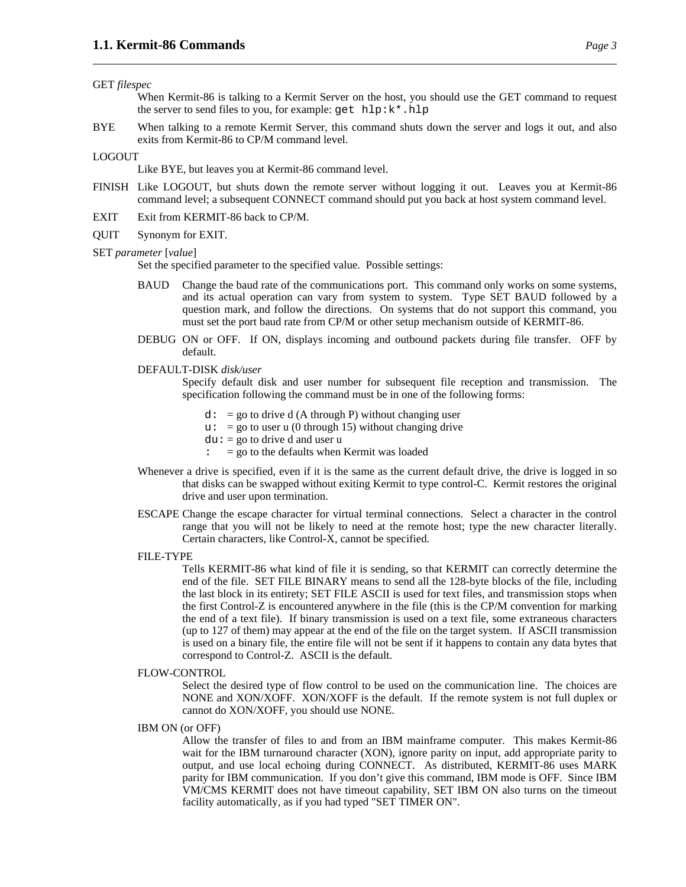#### GET *filespec*

When Kermit-86 is talking to a Kermit Server on the host, you should use the GET command to request the server to send files to you, for example: get hlp:k\*.hlp

BYE When talking to a remote Kermit Server, this command shuts down the server and logs it out, and also exits from Kermit-86 to CP/M command level.

#### LOGOUT

Like BYE, but leaves you at Kermit-86 command level.

- FINISH Like LOGOUT, but shuts down the remote server without logging it out. Leaves you at Kermit-86 command level; a subsequent CONNECT command should put you back at host system command level.
- EXIT Exit from KERMIT-86 back to CP/M.
- QUIT Synonym for EXIT.

#### SET *parameter* [*value*]

Set the specified parameter to the specified value. Possible settings:

- BAUD Change the baud rate of the communications port. This command only works on some systems, and its actual operation can vary from system to system. Type SET BAUD followed by a question mark, and follow the directions. On systems that do not support this command, you must set the port baud rate from CP/M or other setup mechanism outside of KERMIT-86.
- DEBUG ON or OFF. If ON, displays incoming and outbound packets during file transfer. OFF by default.
- DEFAULT-DISK *disk/user*

Specify default disk and user number for subsequent file reception and transmission. The specification following the command must be in one of the following forms:

- $d: = go to drive d (A through P) without changing user$
- $u: = go to user u (0 through 15) without changing drive$
- $du: = go to drive d and user u$
- $\therefore$  = go to the defaults when Kermit was loaded
- Whenever a drive is specified, even if it is the same as the current default drive, the drive is logged in so that disks can be swapped without exiting Kermit to type control-C. Kermit restores the original drive and user upon termination.
- ESCAPE Change the escape character for virtual terminal connections. Select a character in the control range that you will not be likely to need at the remote host; type the new character literally. Certain characters, like Control-X, cannot be specified.
- FILE-TYPE

Tells KERMIT-86 what kind of file it is sending, so that KERMIT can correctly determine the end of the file. SET FILE BINARY means to send all the 128-byte blocks of the file, including the last block in its entirety; SET FILE ASCII is used for text files, and transmission stops when the first Control-Z is encountered anywhere in the file (this is the CP/M convention for marking the end of a text file). If binary transmission is used on a text file, some extraneous characters (up to 127 of them) may appear at the end of the file on the target system. If ASCII transmission is used on a binary file, the entire file will not be sent if it happens to contain any data bytes that correspond to Control-Z. ASCII is the default.

FLOW-CONTROL

Select the desired type of flow control to be used on the communication line. The choices are NONE and XON/XOFF. XON/XOFF is the default. If the remote system is not full duplex or cannot do XON/XOFF, you should use NONE.

IBM ON (or OFF)

Allow the transfer of files to and from an IBM mainframe computer. This makes Kermit-86 wait for the IBM turnaround character (XON), ignore parity on input, add appropriate parity to output, and use local echoing during CONNECT. As distributed, KERMIT-86 uses MARK parity for IBM communication. If you don't give this command, IBM mode is OFF. Since IBM VM/CMS KERMIT does not have timeout capability, SET IBM ON also turns on the timeout facility automatically, as if you had typed "SET TIMER ON".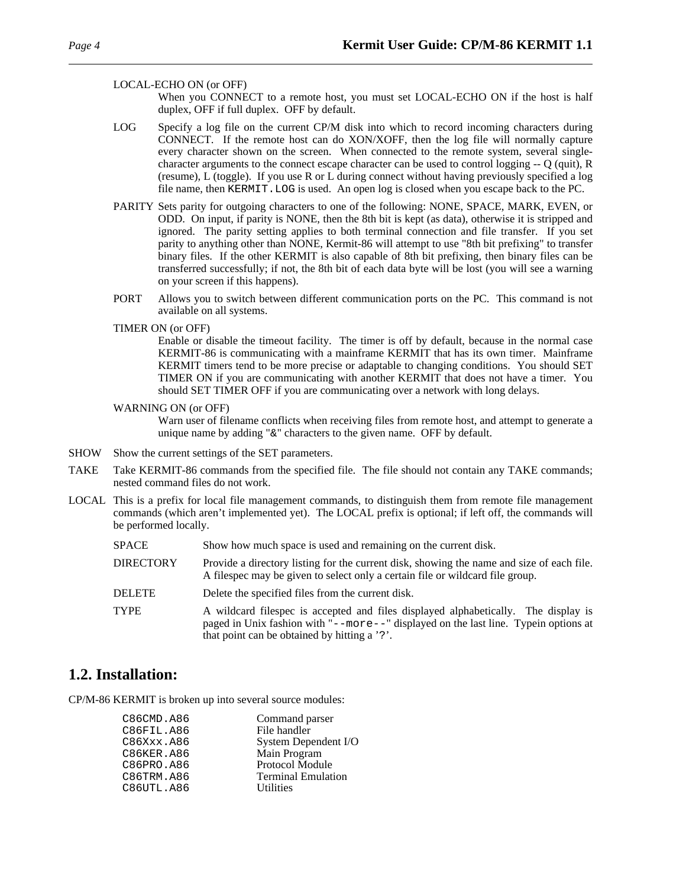#### LOCAL-ECHO ON (or OFF)

When you CONNECT to a remote host, you must set LOCAL-ECHO ON if the host is half duplex, OFF if full duplex. OFF by default.

- LOG Specify a log file on the current CP/M disk into which to record incoming characters during CONNECT. If the remote host can do XON/XOFF, then the log file will normally capture every character shown on the screen. When connected to the remote system, several singlecharacter arguments to the connect escape character can be used to control logging -- Q (quit), R (resume), L (toggle). If you use R or L during connect without having previously specified a log file name, then KERMIT.LOG is used. An open log is closed when you escape back to the PC.
- PARITY Sets parity for outgoing characters to one of the following: NONE, SPACE, MARK, EVEN, or ODD. On input, if parity is NONE, then the 8th bit is kept (as data), otherwise it is stripped and ignored. The parity setting applies to both terminal connection and file transfer. If you set parity to anything other than NONE, Kermit-86 will attempt to use "8th bit prefixing" to transfer binary files. If the other KERMIT is also capable of 8th bit prefixing, then binary files can be transferred successfully; if not, the 8th bit of each data byte will be lost (you will see a warning on your screen if this happens).
- PORT Allows you to switch between different communication ports on the PC. This command is not available on all systems.
- TIMER ON (or OFF)

Enable or disable the timeout facility. The timer is off by default, because in the normal case KERMIT-86 is communicating with a mainframe KERMIT that has its own timer. Mainframe KERMIT timers tend to be more precise or adaptable to changing conditions. You should SET TIMER ON if you are communicating with another KERMIT that does not have a timer. You should SET TIMER OFF if you are communicating over a network with long delays.

WARNING ON (or OFF)

Warn user of filename conflicts when receiving files from remote host, and attempt to generate a unique name by adding "&" characters to the given name. OFF by default.

- SHOW Show the current settings of the SET parameters.
- TAKE Take KERMIT-86 commands from the specified file. The file should not contain any TAKE commands; nested command files do not work.
- LOCAL This is a prefix for local file management commands, to distinguish them from remote file management commands (which aren't implemented yet). The LOCAL prefix is optional; if left off, the commands will be performed locally.
	- SPACE Show how much space is used and remaining on the current disk.
	- DIRECTORY Provide a directory listing for the current disk, showing the name and size of each file. A filespec may be given to select only a certain file or wildcard file group.
	- DELETE Delete the specified files from the current disk.
	- TYPE A wildcard filespec is accepted and files displayed alphabetically. The display is paged in Unix fashion with "--more--" displayed on the last line. Typein options at that point can be obtained by hitting a '?'.

### **1.2. Installation:**

CP/M-86 KERMIT is broken up into several source modules:

| Command parser            |
|---------------------------|
| File handler              |
| System Dependent I/O      |
| Main Program              |
| Protocol Module           |
| <b>Terminal Emulation</b> |
| <b>Utilities</b>          |
|                           |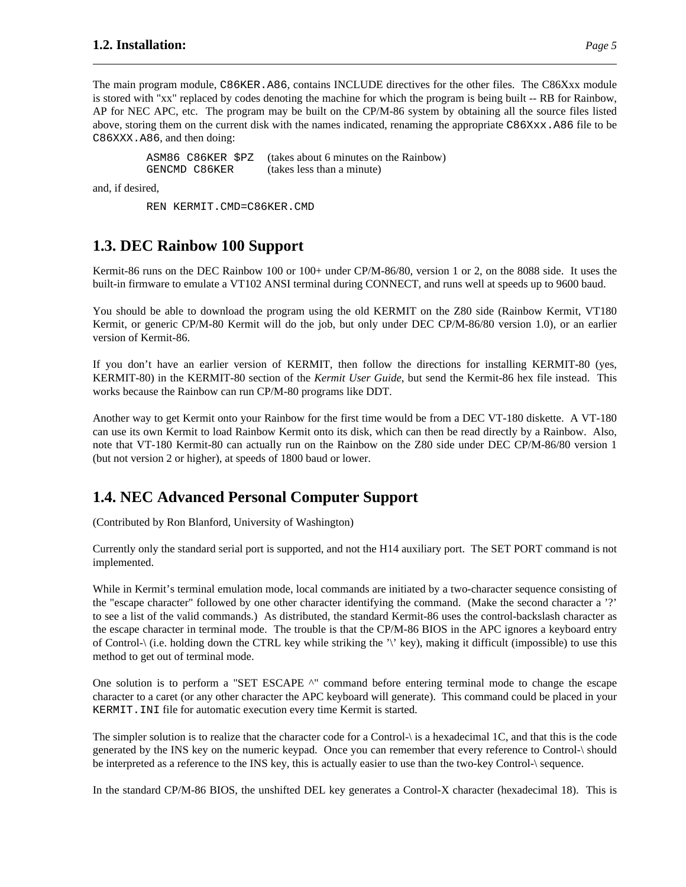The main program module, C86KER.A86, contains INCLUDE directives for the other files. The C86Xxx module is stored with "xx" replaced by codes denoting the machine for which the program is being built -- RB for Rainbow, AP for NEC APC, etc. The program may be built on the CP/M-86 system by obtaining all the source files listed above, storing them on the current disk with the names indicated, renaming the appropriate C86Xxx.A86 file to be C86XXX.A86, and then doing:

ASM86 C86KER \$PZ (takes about 6 minutes on the Rainbow) GENCMD C86KER (takes less than a minute)

and, if desired,

REN KERMIT.CMD=C86KER.CMD

### **1.3. DEC Rainbow 100 Support**

Kermit-86 runs on the DEC Rainbow 100 or 100+ under CP/M-86/80, version 1 or 2, on the 8088 side. It uses the built-in firmware to emulate a VT102 ANSI terminal during CONNECT, and runs well at speeds up to 9600 baud.

You should be able to download the program using the old KERMIT on the Z80 side (Rainbow Kermit, VT180 Kermit, or generic CP/M-80 Kermit will do the job, but only under DEC CP/M-86/80 version 1.0), or an earlier version of Kermit-86.

If you don't have an earlier version of KERMIT, then follow the directions for installing KERMIT-80 (yes, KERMIT-80) in the KERMIT-80 section of the *Kermit User Guide*, but send the Kermit-86 hex file instead. This works because the Rainbow can run CP/M-80 programs like DDT.

Another way to get Kermit onto your Rainbow for the first time would be from a DEC VT-180 diskette. A VT-180 can use its own Kermit to load Rainbow Kermit onto its disk, which can then be read directly by a Rainbow. Also, note that VT-180 Kermit-80 can actually run on the Rainbow on the Z80 side under DEC CP/M-86/80 version 1 (but not version 2 or higher), at speeds of 1800 baud or lower.

### **1.4. NEC Advanced Personal Computer Support**

(Contributed by Ron Blanford, University of Washington)

Currently only the standard serial port is supported, and not the H14 auxiliary port. The SET PORT command is not implemented.

While in Kermit's terminal emulation mode, local commands are initiated by a two-character sequence consisting of the "escape character" followed by one other character identifying the command. (Make the second character a '?' to see a list of the valid commands.) As distributed, the standard Kermit-86 uses the control-backslash character as the escape character in terminal mode. The trouble is that the CP/M-86 BIOS in the APC ignores a keyboard entry of Control-\ (i.e. holding down the CTRL key while striking the '\' key), making it difficult (impossible) to use this method to get out of terminal mode.

One solution is to perform a "SET ESCAPE ^" command before entering terminal mode to change the escape character to a caret (or any other character the APC keyboard will generate). This command could be placed in your KERMIT.INI file for automatic execution every time Kermit is started.

The simpler solution is to realize that the character code for a Control-\ is a hexadecimal 1C, and that this is the code generated by the INS key on the numeric keypad. Once you can remember that every reference to Control-\ should be interpreted as a reference to the INS key, this is actually easier to use than the two-key Control-\ sequence.

In the standard CP/M-86 BIOS, the unshifted DEL key generates a Control-X character (hexadecimal 18). This is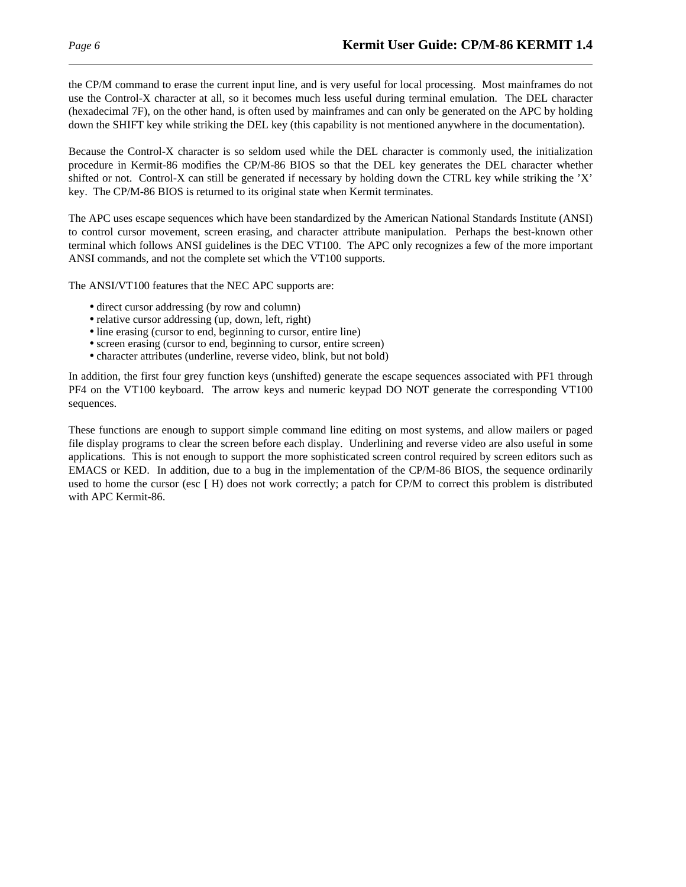the CP/M command to erase the current input line, and is very useful for local processing. Most mainframes do not use the Control-X character at all, so it becomes much less useful during terminal emulation. The DEL character (hexadecimal 7F), on the other hand, is often used by mainframes and can only be generated on the APC by holding down the SHIFT key while striking the DEL key (this capability is not mentioned anywhere in the documentation).

Because the Control-X character is so seldom used while the DEL character is commonly used, the initialization procedure in Kermit-86 modifies the CP/M-86 BIOS so that the DEL key generates the DEL character whether shifted or not. Control-X can still be generated if necessary by holding down the CTRL key while striking the 'X' key. The CP/M-86 BIOS is returned to its original state when Kermit terminates.

The APC uses escape sequences which have been standardized by the American National Standards Institute (ANSI) to control cursor movement, screen erasing, and character attribute manipulation. Perhaps the best-known other terminal which follows ANSI guidelines is the DEC VT100. The APC only recognizes a few of the more important ANSI commands, and not the complete set which the VT100 supports.

The ANSI/VT100 features that the NEC APC supports are:

- direct cursor addressing (by row and column)
- relative cursor addressing (up, down, left, right)
- line erasing (cursor to end, beginning to cursor, entire line)
- screen erasing (cursor to end, beginning to cursor, entire screen)
- character attributes (underline, reverse video, blink, but not bold)

In addition, the first four grey function keys (unshifted) generate the escape sequences associated with PF1 through PF4 on the VT100 keyboard. The arrow keys and numeric keypad DO NOT generate the corresponding VT100 sequences.

These functions are enough to support simple command line editing on most systems, and allow mailers or paged file display programs to clear the screen before each display. Underlining and reverse video are also useful in some applications. This is not enough to support the more sophisticated screen control required by screen editors such as EMACS or KED. In addition, due to a bug in the implementation of the CP/M-86 BIOS, the sequence ordinarily used to home the cursor (esc [ H) does not work correctly; a patch for CP/M to correct this problem is distributed with APC Kermit-86.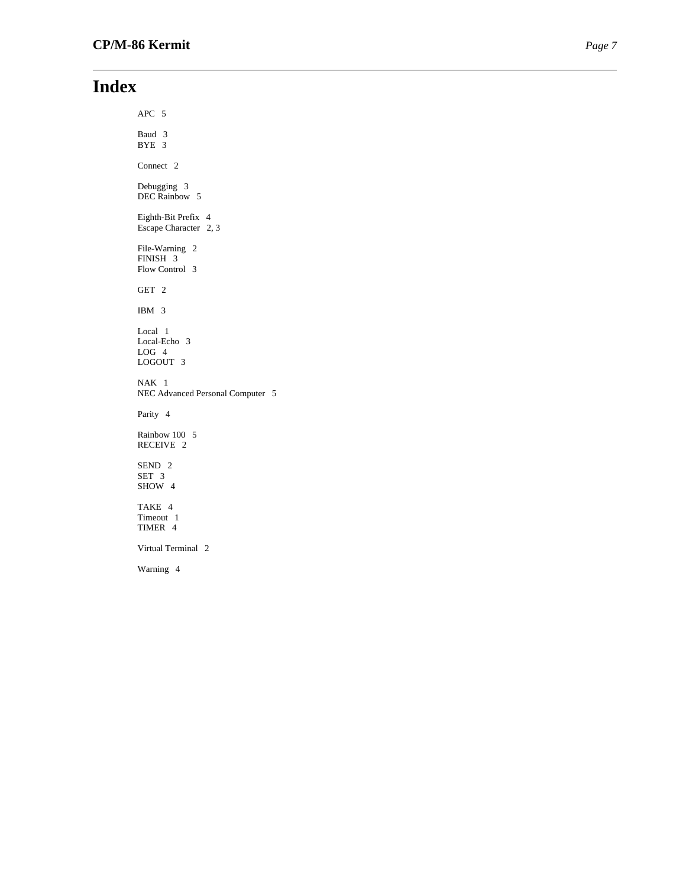# **Index**

APC 5 Baud 3 BYE 3 Connect 2 Debugging 3 DEC Rainbow 5 Eighth-Bit Prefix 4 Escape Character 2, 3 File-Warning 2 FINISH 3 Flow Control 3 GET 2 IBM 3 Local 1 Local-Echo 3 LOG 4 LOGOUT 3 NAK 1 NEC Advanced Personal Computer 5 Parity 4 Rainbow 100 5 RECEIVE 2 SEND 2 SET 3 SHOW 4 TAKE 4 Timeout 1 TIMER 4 Virtual Terminal 2 Warning 4